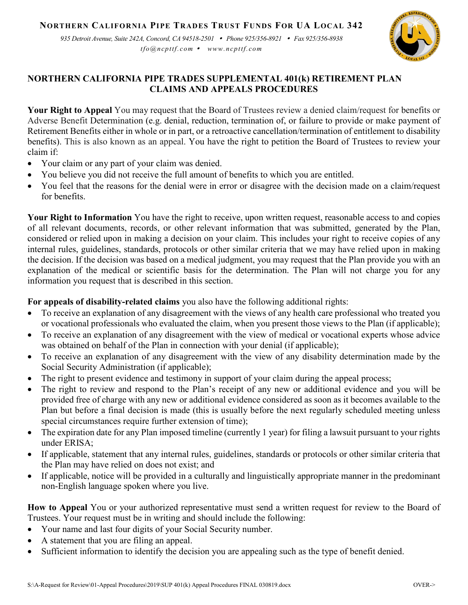## **NORTHERN CALIFORNIA PIPE TRADES TRUST FUNDS FOR UA LOCAL 342**

*935 Detroit Avenue, Suite 242A, Concord, CA 94518-2501 Phone 925/356-8921 Fax 925/356-8938 tfo@ncpttf.com www.ncpttf.com*



## **NORTHERN CALIFORNIA PIPE TRADES SUPPLEMENTAL 401(k) RETIREMENT PLAN CLAIMS AND APPEALS PROCEDURES**

**Your Right to Appeal** You may request that the Board of Trustees review a denied claim/request for benefits or Adverse Benefit Determination (e.g. denial, reduction, termination of, or failure to provide or make payment of Retirement Benefits either in whole or in part, or a retroactive cancellation/termination of entitlement to disability benefits). This is also known as an appeal. You have the right to petition the Board of Trustees to review your claim if:

- Your claim or any part of your claim was denied.
- You believe you did not receive the full amount of benefits to which you are entitled.
- You feel that the reasons for the denial were in error or disagree with the decision made on a claim/request for benefits.

**Your Right to Information** You have the right to receive, upon written request, reasonable access to and copies of all relevant documents, records, or other relevant information that was submitted, generated by the Plan, considered or relied upon in making a decision on your claim. This includes your right to receive copies of any internal rules, guidelines, standards, protocols or other similar criteria that we may have relied upon in making the decision. If the decision was based on a medical judgment, you may request that the Plan provide you with an explanation of the medical or scientific basis for the determination. The Plan will not charge you for any information you request that is described in this section.

**For appeals of disability-related claims** you also have the following additional rights:

- To receive an explanation of any disagreement with the views of any health care professional who treated you or vocational professionals who evaluated the claim, when you present those views to the Plan (if applicable);
- To receive an explanation of any disagreement with the view of medical or vocational experts whose advice was obtained on behalf of the Plan in connection with your denial (if applicable);
- To receive an explanation of any disagreement with the view of any disability determination made by the Social Security Administration (if applicable);
- The right to present evidence and testimony in support of your claim during the appeal process;
- The right to review and respond to the Plan's receipt of any new or additional evidence and you will be provided free of charge with any new or additional evidence considered as soon as it becomes available to the Plan but before a final decision is made (this is usually before the next regularly scheduled meeting unless special circumstances require further extension of time);
- The expiration date for any Plan imposed timeline (currently 1 year) for filing a lawsuit pursuant to your rights under ERISA;
- If applicable, statement that any internal rules, guidelines, standards or protocols or other similar criteria that the Plan may have relied on does not exist; and
- If applicable, notice will be provided in a culturally and linguistically appropriate manner in the predominant non-English language spoken where you live.

**How to Appeal** You or your authorized representative must send a written request for review to the Board of Trustees. Your request must be in writing and should include the following:

- Your name and last four digits of your Social Security number.
- A statement that you are filing an appeal.
- Sufficient information to identify the decision you are appealing such as the type of benefit denied.